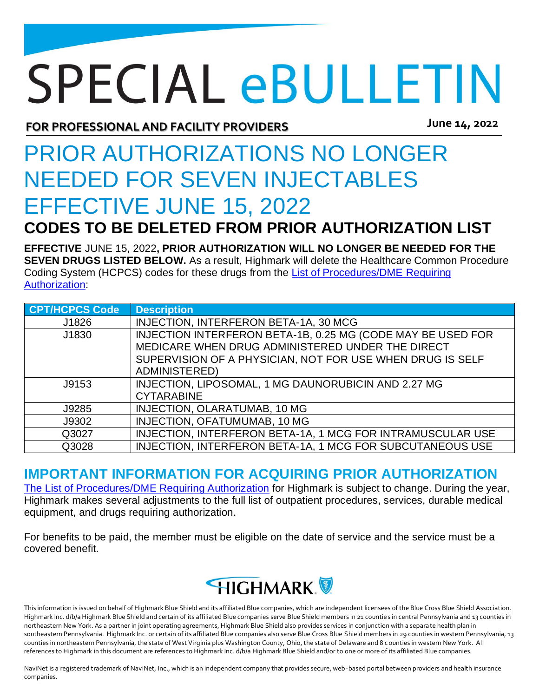## **SPECIAL eBULLETIN**

**June 14, 2022 FOR PROFESSIONAL AND FACILITY PROVIDERS**

## PRIOR AUTHORIZATIONS NO LONGER NEEDED FOR SEVEN INJECTABLES EFFECTIVE JUNE 15, 2022

**CODES TO BE DELETED FROM PRIOR AUTHORIZATION LIST**

**EFFECTIVE** JUNE 15, 2022**, PRIOR AUTHORIZATION WILL NO LONGER BE NEEDED FOR THE SEVEN DRUGS LISTED BELOW.** As a result, Highmark will delete the Healthcare Common Procedure Coding System (HCPCS) codes for these drugs from the [List of Procedures/DME Requiring](https://content.highmarkprc.com/Files/ClaimsPaymentReimb/Proc-Requiring-Auth-list.pdf)  [Authorization:](https://content.highmarkprc.com/Files/ClaimsPaymentReimb/Proc-Requiring-Auth-list.pdf)

| <b>CPT/HCPCS Code</b> | <b>Description</b>                                          |
|-----------------------|-------------------------------------------------------------|
| J1826                 | INJECTION, INTERFERON BETA-1A, 30 MCG                       |
| J1830                 | INJECTION INTERFERON BETA-1B, 0.25 MG (CODE MAY BE USED FOR |
|                       | MEDICARE WHEN DRUG ADMINISTERED UNDER THE DIRECT            |
|                       | SUPERVISION OF A PHYSICIAN, NOT FOR USE WHEN DRUG IS SELF   |
|                       | <b>ADMINISTERED)</b>                                        |
| J9153                 | INJECTION, LIPOSOMAL, 1 MG DAUNORUBICIN AND 2.27 MG         |
|                       | <b>CYTARABINE</b>                                           |
| J9285                 | INJECTION, OLARATUMAB, 10 MG                                |
| J9302                 | INJECTION, OFATUMUMAB, 10 MG                                |
| Q3027                 | INJECTION, INTERFERON BETA-1A, 1 MCG FOR INTRAMUSCULAR USE  |
| Q3028                 | INJECTION, INTERFERON BETA-1A, 1 MCG FOR SUBCUTANEOUS USE   |

## **IMPORTANT INFORMATION FOR ACQUIRING PRIOR AUTHORIZATION**

[The List of Procedures/DME Requiring Authorization](https://content.highmarkprc.com/Files/ClaimsPaymentReimb/Proc-Requiring-Auth-list.pdf) for Highmark is subject to change. During the year, Highmark makes several adjustments to the full list of outpatient procedures, services, durable medical equipment, and drugs requiring authorization.

For benefits to be paid, the member must be eligible on the date of service and the service must be a covered benefit.



This information is issued on behalf of Highmark Blue Shield and its affiliated Blue companies, which are independent licensees of the Blue Cross Blue Shield Association. Highmark Inc. d/b/a Highmark Blue Shield and certain of its affiliated Blue companies serve Blue Shield members in 21 counties in central Pennsylvania and 13 counties in northeastern New York. As a partner in joint operating agreements, Highmark Blue Shield also provides services in conjunction with a separate health plan in southeastern Pennsylvania. Highmark Inc. or certain of its affiliated Blue companies also serve Blue Cross Blue Shield members in 29 counties in western Pennsylvania, 13 counties in northeastern Pennsylvania, the state of West Virginia plus Washington County, Ohio, the state of Delaware and 8 counties in western New York. All references to Highmark in this document are references to Highmark Inc. d/b/a Highmark Blue Shield and/or to one or more of its affiliated Blue companies.

NaviNet is a registered trademark of NaviNet, Inc., which is an independent company that provides secure, web-based portal between providers and health insurance companies.